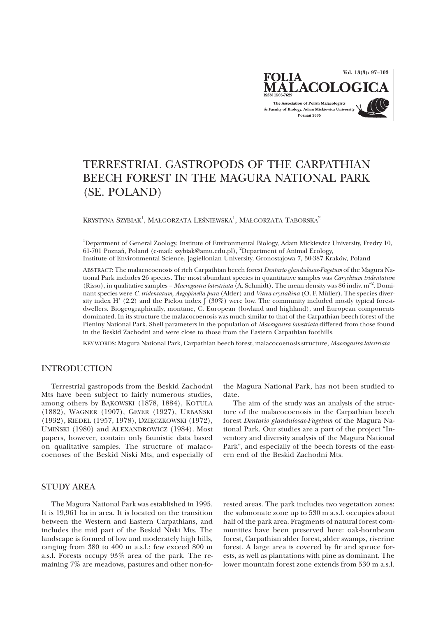**Vol. 13(3): 97–103**FOLIA **ALACOLOC** The Association of Polish Malacologists & Faculty of Biology, Adam Mickiewicz University Poznań 2005

# TERRESTRIAL GASTROPODS OF THE CARPATHIAN BEECH FOREST IN THE MAGURA NATIONAL PARK (SE. POLAND)

KRYSTYNA SZYBIAK $^1$ , MAŁGORZATA LEŚNIEWSKA $^1$ , MAŁGORZATA TABORSKA $^2$ 

<sup>1</sup>Department of General Zoology, Institute of Environmental Biology, Adam Mickiewicz University, Fredry 10, 61-701 Poznań, Poland (e-mail: szybiak@amu.edu.pl), <sup>2</sup>Department of Animal Ecology, Institute of Environmental Science, Jagiellonian University, Gronostajowa 7, 30-387 Kraków, Poland

ABSTRACT: The malacocoenosis of rich Carpathian beech forest *Dentario glandulosae-Fagetum* of the Magura National Park includes 26 species. The most abundant species in quantitative samples was *Carychium tridentatum* (Risso), in qualitative samples – *Macrogastra latestriata* (A. Schmidt)*.* The mean density was 86 indiv. m–2. Dominant species were *C. tridentatum, Aegopinella pura* (Alder) and *Vitrea crystallina* (O. F. Müller). The species diversity index H' (2.2) and the Pielou index  $\int (30\%)$  were low. The community included mostly typical forestdwellers. Biogeographically, montane, C. European (lowland and highland), and European components dominated. In its structure the malacocoenosis was much similar to that of the Carpathian beech forest of the Pieniny National Park. Shell parameters in the population of *Macrogastra latestriata* differed from those found in the Beskid Zachodni and were close to those from the Eastern Carpathian foothills.

KEY WORDS: Magura National Park, Carpathian beech forest, malacocoenosis structure, *Macrogastra latestriata*

#### INTRODUCTION

Terrestrial gastropods from the Beskid Zachodni Mts have been subject to fairly numerous studies, among others by BAKOWSKI (1878, 1884), KOTULA (1882), WAGNER (1907), GEYER (1927), URBAÑSKI (1932), RIEDEL (1957, 1978), DZIĘCZKOWSKI (1972), UMIÑSKI (1980) and ALEXANDROWICZ (1984). Most papers, however, contain only faunistic data based on qualitative samples. The structure of malacocoenoses of the Beskid Niski Mts, and especially of

# STUDY AREA

The Magura National Park was established in 1995. It is 19,961 ha in area. It is located on the transition between the Western and Eastern Carpathians, and includes the mid part of the Beskid Niski Mts. The landscape is formed of low and moderately high hills, ranging from 380 to 400 m a.s.l.; few exceed 800 m a.s.l. Forests occupy 93% area of the park. The remaining 7% are meadows, pastures and other non-fo-

the Magura National Park, has not been studied to date.

The aim of the study was an analysis of the structure of the malacocoenosis in the Carpathian beech forest *Dentario glandulosae-Fagetum* of the Magura National Park. Our studies are a part of the project "Inventory and diversity analysis of the Magura National Park", and especially of the beech forests of the eastern end of the Beskid Zachodni Mts.

rested areas. The park includes two vegetation zones: the submonate zone up to 530 m a.s.l. occupies about half of the park area. Fragments of natural forest communities have been preserved here: oak-hornbeam forest, Carpathian alder forest, alder swamps, riverine forest. A large area is covered by fir and spruce forests, as well as plantations with pine as dominant. The lower mountain forest zone extends from 530 m a.s.l.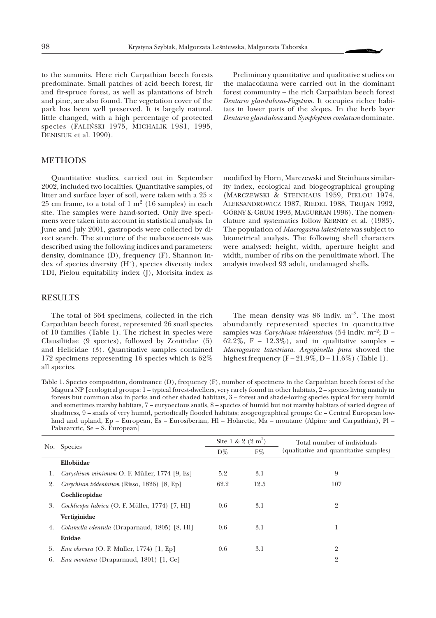to the summits. Here rich Carpathian beech forests predominate. Small patches of acid beech forest, fir and fir-spruce forest, as well as plantations of birch and pine, are also found. The vegetation cover of the park has been well preserved. It is largely natural, little changed, with a high percentage of protected species (FALIÑSKI 1975, MICHALIK 1981, 1995, DENISIUK et al. 1990).

Preliminary quantitative and qualitative studies on the malacofauna were carried out in the dominant forest community – the rich Carpathian beech forest *Dentario glandulosae-Fagetum.* It occupies richer habitats in lower parts of the slopes. In the herb layer *Dentaria glandulosa* and *Symphytum cordatum* dominate.

### METHODS

Quantitative studies, carried out in September 2002, included two localities. Quantitative samples, of litter and surface layer of soil, were taken with a 25 × 25 cm frame, to a total of  $1 \text{ m}^2$  (16 samples) in each site. The samples were hand-sorted. Only live specimens were taken into account in statistical analysis. In June and July 2001, gastropods were collected by direct search. The structure of the malacocoenosis was described using the following indices and parameters: density, dominance (D), frequency (F), Shannon index of species diversity (H´), species diversity index TDI, Pielou equitability index (J), Morisita index as

modified by Horn, Marczewski and Steinhaus similarity index, ecological and biogeographical grouping (MARCZEWSKI & STEINHAUS 1959, PIELOU 1974, ALEKSANDROWICZ 1987, RIEDEL 1988, TROJAN 1992, GÓRNY & GRÜM 1993, MAGURRAN 1996). The nomenclature and systematics follow KERNEY et al. (1983). The population of *Macrogastra latestriata* was subject to biometrical analysis. The following shell characters were analysed: height, width, aperture height and width, number of ribs on the penultimate whorl. The analysis involved 93 adult, undamaged shells.

#### RESULTS

The total of 364 specimens, collected in the rich Carpathian beech forest, represented 26 snail species of 10 families (Table 1). The richest in species were Clausiliidae (9 species), followed by Zonitidae (5) and Helicidae (3). Quantitative samples contained 172 specimens representing 16 species which is 62% all species.

The mean density was 86 indiv. m–2. The most abundantly represented species in quantitative samples was *Carychium tridentatum* (54 indiv. m<sup>-2</sup>; D – 62.2%, F – 12.3%), and in qualitative samples – *Macrogastra latestriata*. *Aegopinella pura* showed the highest frequency  $(F - 21.9\%, D - 11.6\%)$  (Table 1).

| Table 1. Species composition, dominance (D), frequency (F), number of specimens in the Carpathian beech forest of the            |
|----------------------------------------------------------------------------------------------------------------------------------|
| Magura NP [ecological groups: $1$ – typical forest-dwellers, very rarely found in other habitats, $2$ – species living mainly in |
| forests but common also in parks and other shaded habitats, 3 – forest and shade-loving species typical for very humid           |
| and sometimes marshy habitats, 7 – euryoecious snails, 8 – species of humid but not marshy habitats of varied degree of          |
| shadiness, 9 – snails of very humid, periodically flooded habitats; zoogeographical groups: Ce – Central European low-           |
| land and upland, Ep – European, Es – Eurosiberian, Hl – Holarctic, Ma – montane (Alpine and Carpathian), Pl –                    |
| Palaearctic, Se – S. European                                                                                                    |

|     | <b>Species</b>                                  | Site 1 & 2 $(2 \text{ m}^2)$ |       | Total number of individuals            |
|-----|-------------------------------------------------|------------------------------|-------|----------------------------------------|
| No. |                                                 | $D\%$                        | $F\%$ | (qualitative and quantitative samples) |
|     | Ellobiidae                                      |                              |       |                                        |
| 1.  | Carychium minimum O. F. Müller, 1774 [9, Es]    | 5.2                          | 3.1   | 9                                      |
| 2.  | Carychium tridentatum (Risso, 1826) [8, Ep]     | 62.2                         | 12.5  | 107                                    |
|     | Cochlicopidae                                   |                              |       |                                        |
| 3.  | Cochlicopa lubrica (O. F. Müller, 1774) [7, H1] | 0.6                          | 3.1   | 2                                      |
|     | Vertiginidae                                    |                              |       |                                        |
| 4.  | Columella edentula (Draparnaud, 1805) [8, Hl]   | 0.6                          | 3.1   |                                        |
|     | Enidae                                          |                              |       |                                        |
| 5.  | <i>Ena obscura</i> (O. F. Müller, 1774) [1, Ep] | 0.6                          | 3.1   | 2                                      |
| 6.  | <i>Ena montana</i> (Draparnaud, 1801) [1, Ce]   |                              |       | $\overline{2}$                         |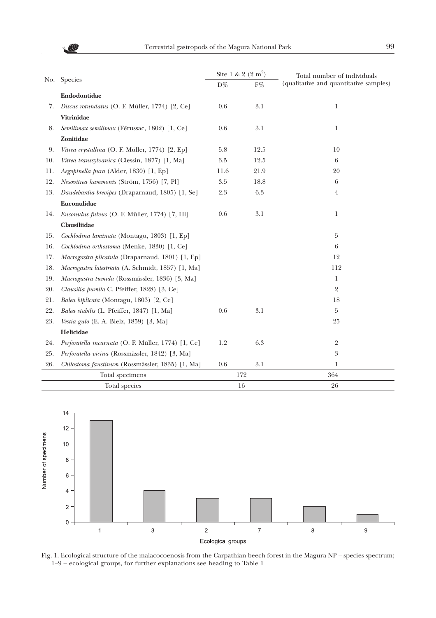

|               | No. Species                                         | Site 1 & 2 $(2 \text{ m}^2)$ |       | Total number of individuals            |
|---------------|-----------------------------------------------------|------------------------------|-------|----------------------------------------|
|               |                                                     | $\mathrm{D}\%$               | $F\%$ | (qualitative and quantitative samples) |
|               | Endodontidae                                        |                              |       |                                        |
| 7.            | Discus rotundatus (O. F. Müller, 1774) [2, Ce]      | 0.6                          | 3.1   | 1                                      |
|               | Vitrinidae                                          |                              |       |                                        |
| 8.            | Semilimax semilimax (Férussac, 1802) [1, Ce]        | 0.6                          | 3.1   | 1                                      |
|               | Zonitidae                                           |                              |       |                                        |
| 9.            | Vitrea crystallina (O. F. Müller, 1774) [2, Ep]     | 5.8                          | 12.5  | 10                                     |
| 10.           | Vitrea transsylvanica (Clessin, 1877) [1, Ma]       | 3.5                          | 12.5  | 6                                      |
| 11.           | Aegopinella pura (Alder, 1830) [1, Ep]              | 11.6                         | 21.9  | 20                                     |
| 12.           | Nesovitrea hammonis (Ström, 1756) [7, Pl]           | 3.5                          | 18.8  | 6                                      |
| 13.           | Daudebardia brevipes (Draparnaud, 1805) [1, Se]     | 2.3                          | 6.3   | 4                                      |
|               | Euconulidae                                         |                              |       |                                        |
| 14.           | Euconulus fulvus (O. F. Müller, 1774) [7, Hl]       | 0.6                          | 3.1   | 1                                      |
|               | Clausiliidae                                        |                              |       |                                        |
| 15.           | Cochlodina laminata (Montagu, 1803) [1, Ep]         |                              |       | 5                                      |
| 16.           | Cochlodina orthostoma (Menke, 1830) [1, Ce]         |                              |       | 6                                      |
| 17.           | Macrogastra plicatula (Draparnaud, 1801) [1, Ep]    |                              |       | 12                                     |
| 18.           | Macrogastra latestriata (A. Schmidt, 1857) [1, Ma]  |                              |       | 112                                    |
| 19.           | Macrogastra tumida (Rossmässler, 1836) [3, Ma]      |                              |       | 1                                      |
| 20.           | Clausilia pumila C. Pfeiffer, 1828) [3, Ce]         |                              |       | $\overline{2}$                         |
| 21.           | Balea biplicata (Montagu, 1803) [2, Ce]             |                              |       | 18                                     |
| 22.           | Balea stabilis (L. Pfeiffer, 1847) [1, Ma]          | 0.6                          | 3.1   | 5                                      |
| 23.           | <i>Vestia gulo</i> (E. A. Bielz, 1859) [3, Ma]      |                              |       | 25                                     |
|               | Helicidae                                           |                              |       |                                        |
| 24.           | Perforatella incarnata (O. F. Müller, 1774) [1, Ce] | 1.2                          | 6.3   | 2                                      |
| 25.           | Perforatella vicina (Rossmässler, 1842) [3, Ma]     |                              |       | 3                                      |
| 26.           | Chilostoma faustinum (Rossmässler, 1835) [1, Ma]    | 0.6                          | 3.1   | 1                                      |
|               | Total specimens                                     | 172                          |       | 364                                    |
| Total species |                                                     |                              | 16    | 26                                     |



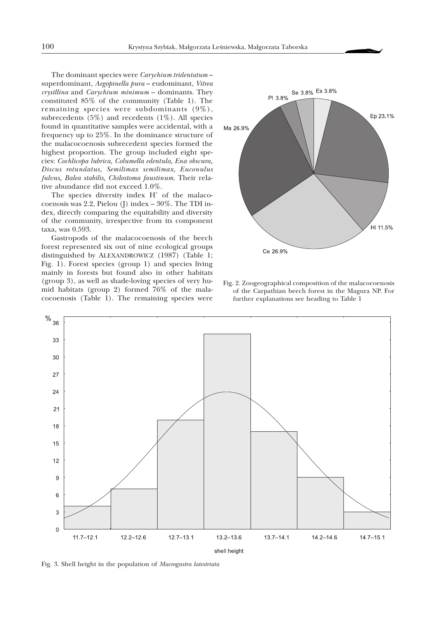The dominant species were *Carychium tridentatum* – superdominant, *Aegopinella pura* – eudominant, *Vitrea crystllina* and *Carychium minimum* – dominants. They constituted 85% of the community (Table 1). The remaining species were subdominants (9%), subrecedents  $(5\%)$  and recedents  $(1\%)$ . All species found in quantitative samples were accidental, with a frequency up to 25%. In the dominance structure of the malacocoenosis subrecedent species formed the highest proportion. The group included eight species: *Cochlicopa lubrica, Columella edentula, Ena obscura, Discus rotundatus, Semilimax semilimax, Euconulus fulvus, Balea stabilis, Chilostoma faustinum.* Their relative abundance did not exceed 1.0%.

The species diversity index H' of the malacocoenosis was 2.2, Pielou (J) index – 30%. The TDI index, directly comparing the equitability and diversity of the community, irrespective from its component taxa, was 0.593.

Gastropods of the malacocoenosis of the beech forest represented six out of nine ecological groups distinguished by ALEXANDROWICZ (1987) (Table 1; Fig. 1). Forest species (group 1) and species living mainly in forests but found also in other habitats (group 3), as well as shade-loving species of very humid habitats (group 2) formed 76% of the malacocoenosis (Table 1). The remaining species were



Fig. 2. Zoogeographical composition of the malacocoenosis of the Carpathian beech forest in the Magura NP. For further explanations see heading to Table 1



Fig. 3. Shell height in the population of *Macrogastra latestriata*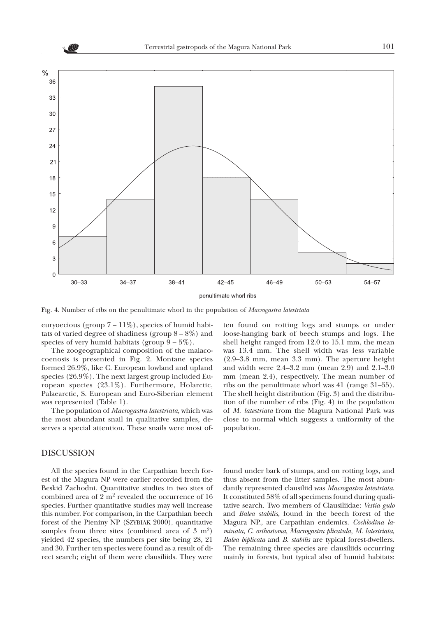

Fig. 4. Number of ribs on the penultimate whorl in the population of *Macrogastra latestriata*

euryoecious (group  $7 - 11\%$ ), species of humid habitats of varied degree of shadiness (group  $8-8\%$ ) and species of very humid habitats (group  $9 - 5\%$ ).

The zoogeographical composition of the malacocoenosis is presented in Fig. 2. Montane species formed 26.9%, like C. European lowland and upland species (26.9%). The next largest group included European species (23.1%). Furthermore, Holarctic, Palaearctic, S. European and Euro-Siberian element was represented (Table 1).

The population of *Macrogastra latestriata*, which was the most abundant snail in qualitative samples, deserves a special attention. These snails were most of-

#### DISCUSSION

All the species found in the Carpathian beech forest of the Magura NP were earlier recorded from the Beskid Zachodni. Quantitative studies in two sites of combined area of 2 m2 revealed the occurrence of 16 species. Further quantitative studies may well increase this number. For comparison, in the Carpathian beech forest of the Pieniny NP (SZYBIAK 2000), quantitative samples from three sites (combined area of  $3 \text{ m}^2$ ) yielded 42 species, the numbers per site being 28, 21 and 30. Further ten species were found as a result of direct search; eight of them were clausiliids. They were

ten found on rotting logs and stumps or under loose-hanging bark of beech stumps and logs. The shell height ranged from 12.0 to 15.1 mm, the mean was 13.4 mm. The shell width was less variable (2.9–3.8 mm, mean 3.3 mm). The aperture height and width were 2.4–3.2 mm (mean 2.9) and 2.1–3.0 mm (mean 2.4), respectively. The mean number of ribs on the penultimate whorl was 41 (range 31–55). The shell height distribution (Fig. 3) and the distribution of the number of ribs (Fig. 4) in the population of *M. latestriata* from the Magura National Park was close to normal which suggests a uniformity of the population.

found under bark of stumps, and on rotting logs, and thus absent from the litter samples. The most abundantly represented clausiliid was *Macrogastra latestriata*. It constituted 58% of all specimens found during qualitative search. Two members of Clausiliidae: *Vestia gulo* and *Balea stabilis,* found in the beech forest of the Magura NP., are Carpathian endemics. *Cochlodina laminata, C. orthostoma, Macrogastra plicatula, M. latestriata, Balea biplicata* and *B. stabilis* are typical forest-dwellers. The remaining three species are clausiliids occurring mainly in forests, but typical also of humid habitats: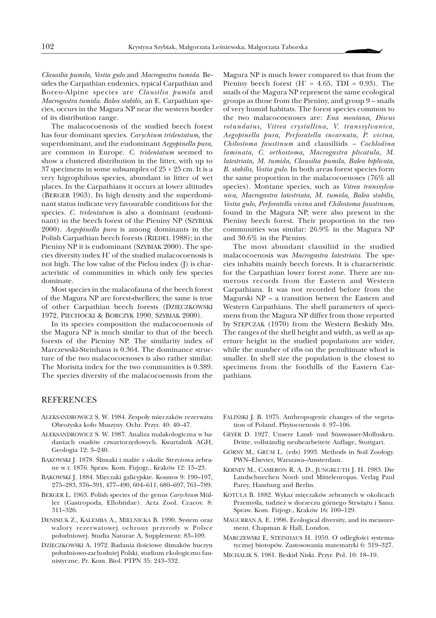*Clausilia pumila, Vestia gulo* and *Macrogastra tumida*. Besides the Carpathian endemics, typical Carpathian and Boreo-Alpine species are *Clausilia pumila* and *Macrogastra tumida. Balea stabilis,* an E. Carpathian species, occurs in the Magura NP near the western border of its distribution range.

The malacocoenosis of the studied beech forest has four dominant species. *Carychium tridentatum,* the superdominant, and the eudominant *Aegopinella pura*, are common in Europe. *C. tridentatum* seemed to show a clustered distribution in the litter, with up to 37 specimens in some subsamples of  $25 \times 25$  cm. It is a very higrophilous species, abundant in litter of wet places. In the Carpathians it occurs at lower altitudes (BERGER 1963). Its high density and the superdominant status indicate very favourable conditions for the species. *C. tridentatum* is also a dominant (eudominant) in the beech forest of the Pieniny NP (SZYBIAK 2000). *Aegopinella pura* is among dominants in the Polish Carpathian beech forests (RIEDEL 1988); in the Pieniny NP it is eudominant (SZYBIAK 2000). The species diversity index H' of the studied malacocoenosis is not high. The low value of the Pielou index (J) is characteristic of communities in which only few species dominate.

Most species in the malacofauna of the beech forest of the Magura NP are forest-dwellers; the same is true of other Carpathian beech forests (DZIÊCZKOWSKI 1972, PIECHOCKI & BORCZYK 1990, SZYBIAK 2000).

In its species composition the malacocoenosis of the Magura NP is much similar to that of the beech forests of the Pieniny NP. The similarity index of Marczewski-Steinhaus is 0.364. The dominance structure of the two malacocoenoses is also rather similar. The Morisita index for the two communities is 0.389. The species diversity of the malacocoenosis from the

Magura NP is much lower compared to that from the Pieniny beech forest  $(H' = 4.65, TDI = 0.93)$ . The snails of the Magura NP represent the same ecological groups as those from the Pieniny, and group 9 – snails of very humid habitats. The forest species common to the two malacocoenoses are: *Ena montana, Discus rotundatus, Vitrea crystallina, V. transsylvanica, Aegopinella pura, Perforatella incarnata, P. vicina, Chilostoma faustinum* and clausiliids *– Cochlodina laminata, C. orthostoma, Macrogastra plicatula, M. latestriata, M. tumida, Clausilia pumila, Balea biplicata, B. stabilis, Vestia gulo.* In both areas forest species form the same proportion in the malacocoenoses (76% all species). Montane species, such as *Vitrea transsylvanica, Macrogastra latestriata*, *M. tumida, Balea stabilis, Vestia gulo, Perforatella vicina* and *Chilostoma faustinum*, found in the Magura NP, were also present in the Pieniny beech forest. Their proportion in the two communities was similar: 26.9% in the Magura NP and 30.6% in the Pieniny.

The most abundant clausiliid in the studied malacocoenosis was *Macrogastra latestriata*. The species inhabits mainly beech forests. It is characteristic for the Carpathian lower forest zone. There are numerous records from the Eastern and Western Carpathians. It was not recorded before from the Magurski NP – a transition betwen the Eastern and Western Carpathians. The shell parameters of specimens from the Magura NP differ from those reported by STEPCZAK (1970) from the Western Beskidy Mts. The ranges of the shell height and width, as well as aperture height in the studied populations are wider, while the number of ribs on the penultimate whorl is smaller. In shell size the population is the closest to specimens from the foothills of the Eastern Carpathians.

## **REFERENCES**

- ALEKSANDROWICZ S. W. 1984. Zespoły mięczaków rezerwatu Obrożyska koło Muszyny. Ochr. Przyr. 40: 40-47.
- ALEKSANDROWICZ S. W. 1987. Analiza malakologiczna w badaniach osadów czwartorzêdowych. Kwartalnik AGH, Geologia 12: 3–240.
- BAKOWSKI J. 1878. Ślimaki i małże z okolic Strzyżowa zebrane w r. 1876. Spraw. Kom. Fizjogr., Kraków 12: 15–23.
- BAKOWSKI J. 1884. Mięczaki galicyjskie. Kosmos 9: 190–197, 275–283, 376–391, 477–490, 604–611, 680–697, 761–789.
- BERGER L. 1963. Polish species of the genus *Carychium* Müller (Gastropoda, Ellobiidae). Acta Zool. Cracov. 8: 311–326.
- DENISIUK Z., KALEMBA A., MIELNICKA B. 1990. System oraz walory rezerwatowej ochrony przyrody w Polsce południowej. Studia Naturae A, Supplement: 83-109.
- DZIĘCZKOWSKI A. 1972. Badania ilościowe ślimaków buczyn południowo-zachodniej Polski, studium ekologiczno faunistyczne, Pr. Kom. Biol. PTPN 35: 243–332.
- FALIÑSKI J. B. 1975. Anthropogenic changes of the vegetation of Poland. Phytocoenosis 4: 97–106.
- GEYER D. 1927. Unsere Land- und Süsswasser-Mollusken. Dritte, vollständig neubearbeitete Auflage, Stuttgart.
- GÓRNY M., GRÜM L. (eds) 1993. Methods in Soil Zoology. PWN–Elsevier, Warszawa–Amsterdam.
- KERNEY M., CAMERON R. A. D., JUNGBLUTH J. H. 1983. Die Landschnechen Nord- und Mitteleuropas. Verlag Paul Parey, Hamburg and Berlin.
- KOTULA B. 1882. Wykaz miêczaków zebranych w okolicach Przemyśla, tudzież w dorzeczu górnego Strwiążu i Sanu. Spraw. Kom. Fizjogr., Kraków 16: 100–129.
- MAGURRAN A. E. 1996. Ecological diversity, and its measurement. Chapman & Hall, London.
- MARCZEWSKI E, STEINHAUS H. 1959. O odległości systematycznej biotopów. Zastosowania matematyki 6: 319–327.
- MICHALIK S. 1981. Beskid Niski. Przyr. Pol. 10: 18–19.